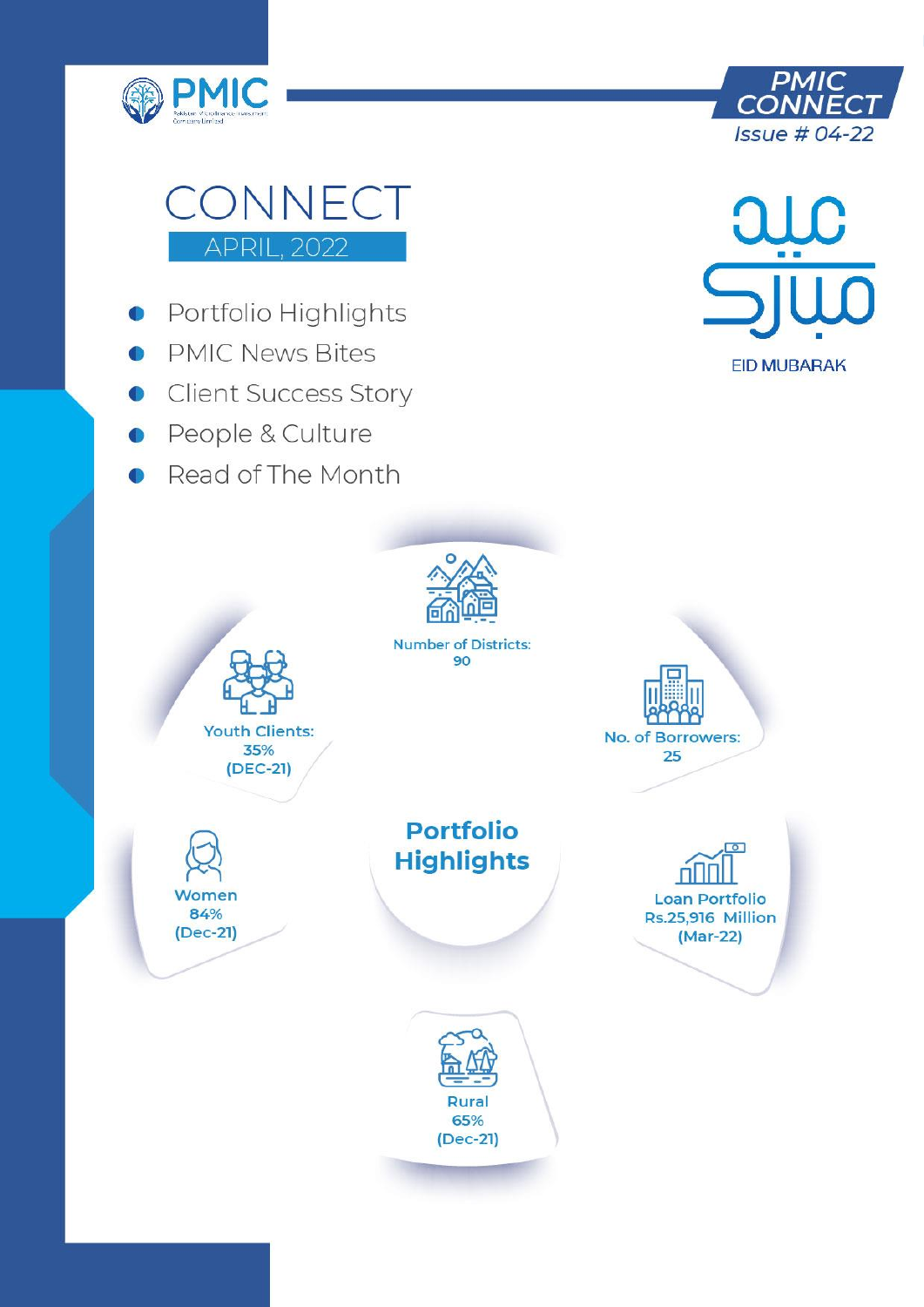



# CONNECT APRII 2022

- Portfolio Highlights
- **PMIC News Bites**
- **Client Success Story**
- People & Culture
- Read of The Month



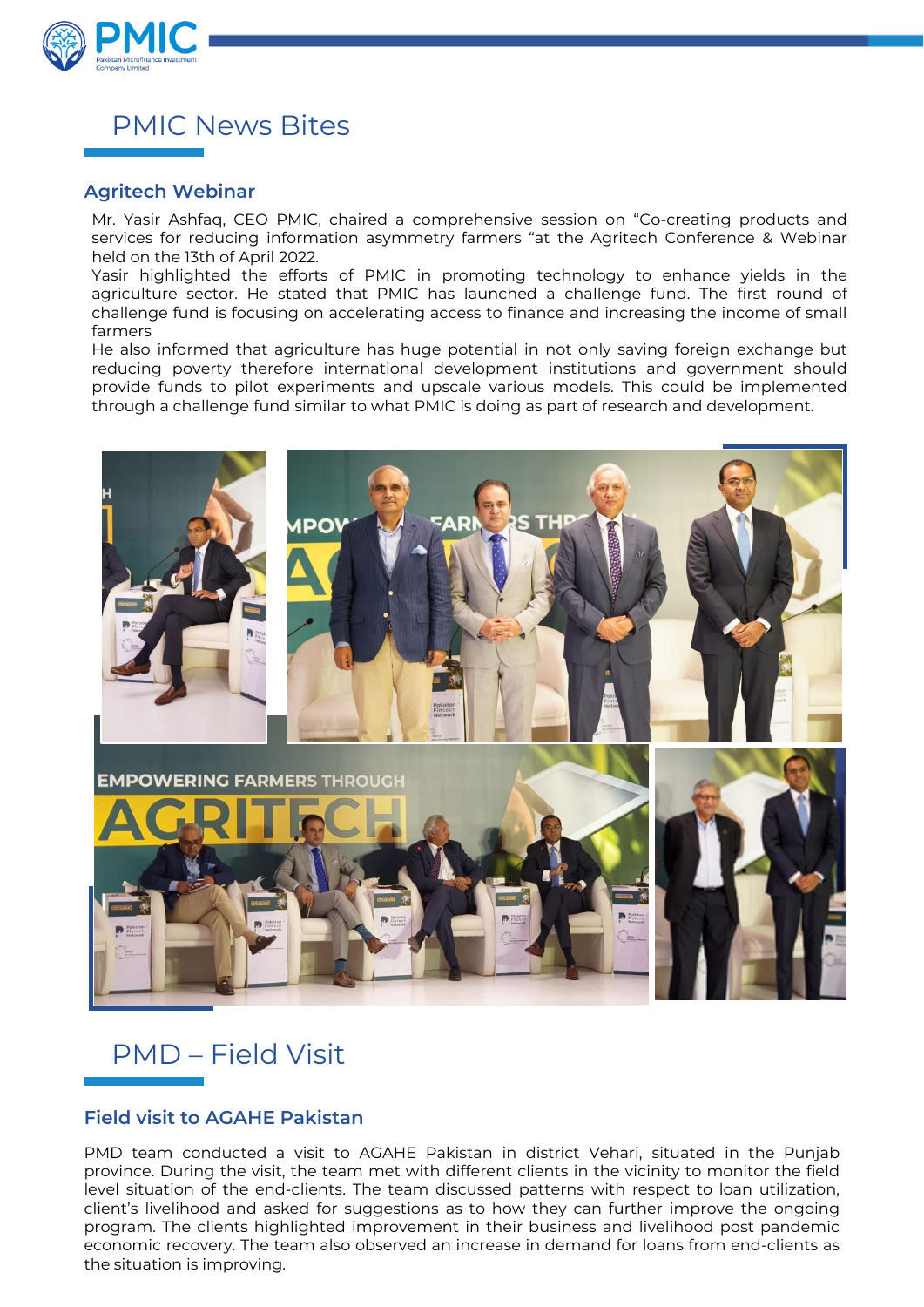

# PMIC News Bites

#### **Agritech Webinar**

Mr. Yasir Ashfaq, CEO PMIC, chaired a comprehensive session on "Co-creating products and services for reducing information asymmetry farmers "at the Agritech Conference & Webinar held on the 13th of April 2022.

Yasir highlighted the efforts of PMIC in promoting technology to enhance yields in the agriculture sector. He stated that PMIC has launched a challenge fund. The first round of challenge fund is focusing on accelerating access to finance and increasing the income of small farmers

He also informed that agriculture has huge potential in not only saving foreign exchange but reducing poverty therefore international development institutions and government should provide funds to pilot experiments and upscale various models. This could be implemented through a challenge fund similar to what PMIC is doing as part of research and development.



# PMD – Field Visit

### **Field visit to AGAHE Pakistan**

PMD team conducted a visit to AGAHE Pakistan in district Vehari, situated in the Punjab province. During the visit, the team met with different clients in the vicinity to monitor the field level situation of the end-clients. The team discussed patterns with respect to loan utilization, client's livelihood and asked for suggestions as to how they can further improve the ongoing program. The clients highlighted improvement in their business and livelihood post pandemic economic recovery. The team also observed an increase in demand for loans from end-clients as the situation is improving.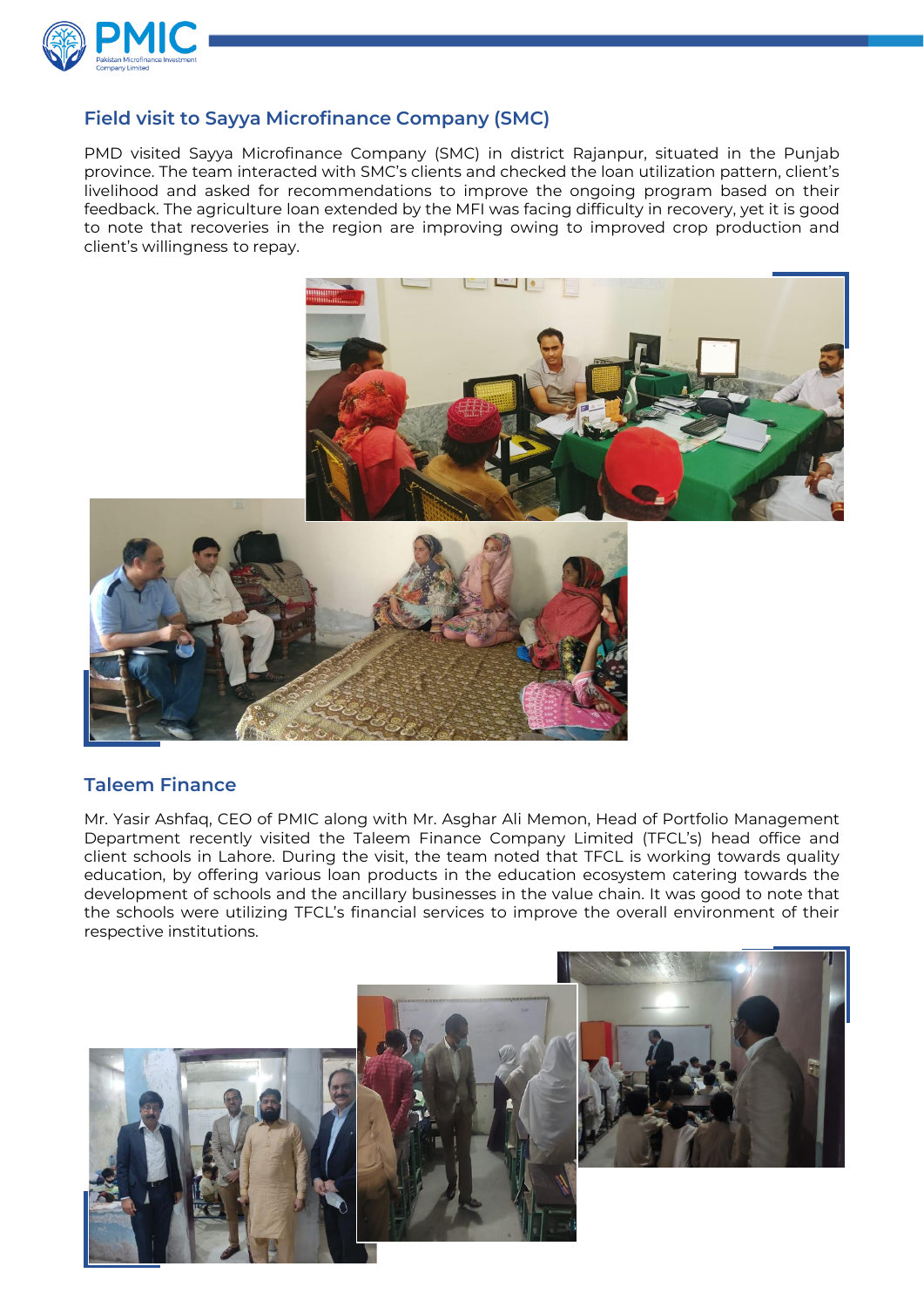

## **Field visit to Sayya Microfinance Company (SMC)**

PMD visited Sayya Microfinance Company (SMC) in district Rajanpur, situated in the Punjab province. The team interacted with SMC's clients and checked the loan utilization pattern, client's livelihood and asked for recommendations to improve the ongoing program based on their feedback. The agriculture loan extended by the MFI was facing difficulty in recovery, yet it is good to note that recoveries in the region are improving owing to improved crop production and client's willingness to repay.



#### **Taleem Finance**

Mr. Yasir Ashfaq, CEO of PMIC along with Mr. Asghar Ali Memon, Head of Portfolio Management Department recently visited the Taleem Finance Company Limited (TFCL's) head office and client schools in Lahore. During the visit, the team noted that TFCL is working towards quality education, by offering various loan products in the education ecosystem catering towards the development of schools and the ancillary businesses in the value chain. It was good to note that the schools were utilizing TFCL's financial services to improve the overall environment of their respective institutions.

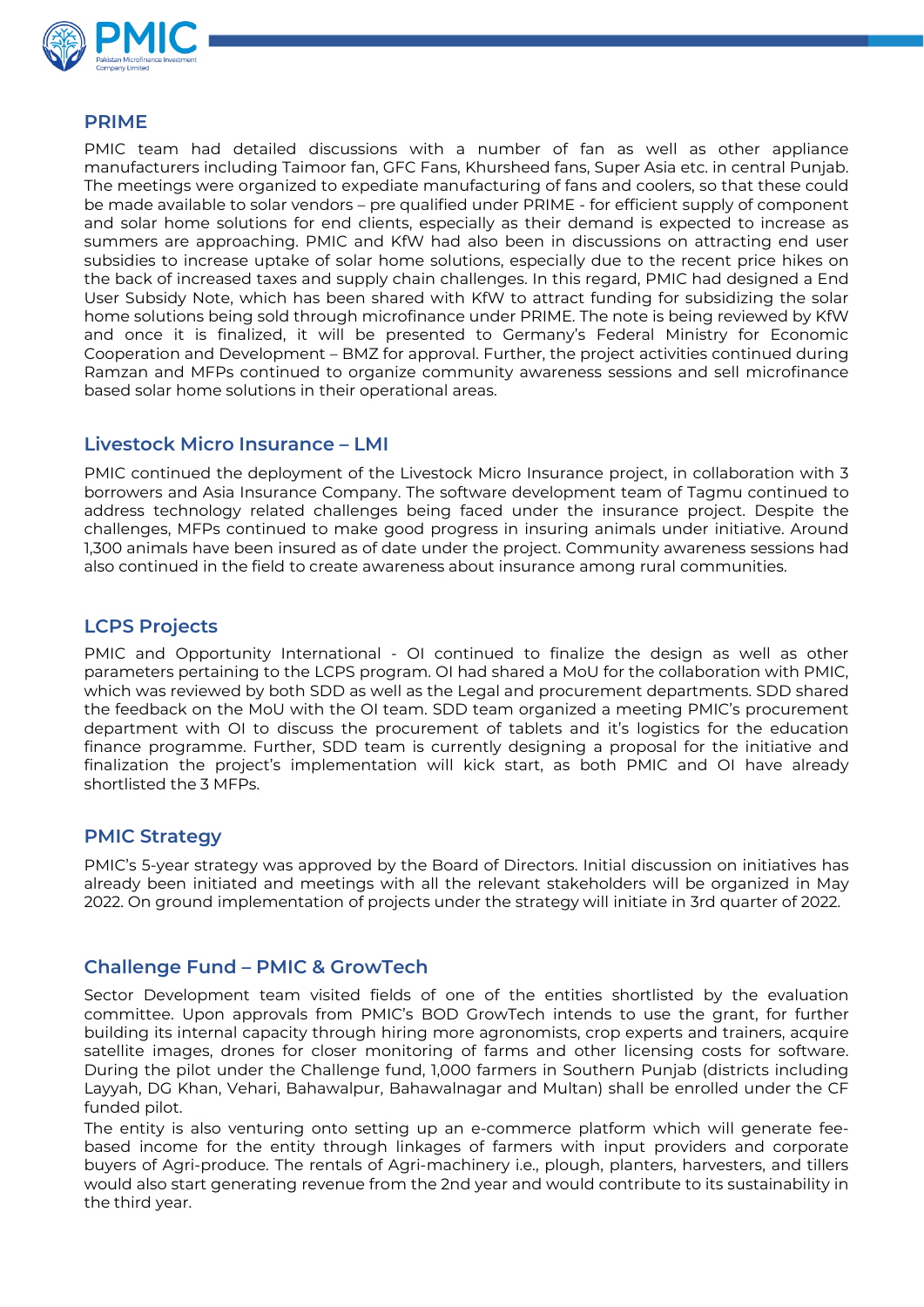

## **PRIME**

PMIC team had detailed discussions with a number of fan as well as other appliance manufacturers including Taimoor fan, GFC Fans, Khursheed fans, Super Asia etc. in central Punjab. The meetings were organized to expediate manufacturing of fans and coolers, so that these could be made available to solar vendors – pre qualified under PRIME - for efficient supply of component and solar home solutions for end clients, especially as their demand is expected to increase as summers are approaching. PMIC and KfW had also been in discussions on attracting end user subsidies to increase uptake of solar home solutions, especially due to the recent price hikes on the back of increased taxes and supply chain challenges. In this regard, PMIC had designed a End User Subsidy Note, which has been shared with KfW to attract funding for subsidizing the solar home solutions being sold through microfinance under PRIME. The note is being reviewed by KfW and once it is finalized, it will be presented to Germany's Federal Ministry for Economic Cooperation and Development – BMZ for approval. Further, the project activities continued during Ramzan and MFPs continued to organize community awareness sessions and sell microfinance based solar home solutions in their operational areas.

### **Livestock Micro Insurance – LMI**

PMIC continued the deployment of the Livestock Micro Insurance project, in collaboration with 3 borrowers and Asia Insurance Company. The software development team of Tagmu continued to address technology related challenges being faced under the insurance project. Despite the challenges, MFPs continued to make good progress in insuring animals under initiative. Around 1,300 animals have been insured as of date under the project. Community awareness sessions had also continued in the field to create awareness about insurance among rural communities.

### **LCPS Projects**

PMIC and Opportunity International - OI continued to finalize the design as well as other parameters pertaining to the LCPS program. OI had shared a MoU for the collaboration with PMIC, which was reviewed by both SDD as well as the Legal and procurement departments. SDD shared the feedback on the MoU with the OI team. SDD team organized a meeting PMIC's procurement department with OI to discuss the procurement of tablets and it's logistics for the education finance programme. Further, SDD team is currently designing a proposal for the initiative and finalization the project's implementation will kick start, as both PMIC and OI have already shortlisted the 3 MFPs.

### **PMIC Strategy**

PMIC's 5-year strategy was approved by the Board of Directors. Initial discussion on initiatives has already been initiated and meetings with all the relevant stakeholders will be organized in May 2022. On ground implementation of projects under the strategy will initiate in 3rd quarter of 2022.

### **Challenge Fund – PMIC & GrowTech**

Sector Development team visited fields of one of the entities shortlisted by the evaluation committee. Upon approvals from PMIC's BOD GrowTech intends to use the grant, for further building its internal capacity through hiring more agronomists, crop experts and trainers, acquire satellite images, drones for closer monitoring of farms and other licensing costs for software. During the pilot under the Challenge fund, 1,000 farmers in Southern Punjab (districts including Layyah, DG Khan, Vehari, Bahawalpur, Bahawalnagar and Multan) shall be enrolled under the CF funded pilot.

The entity is also venturing onto setting up an e-commerce platform which will generate feebased income for the entity through linkages of farmers with input providers and corporate buyers of Agri-produce. The rentals of Agri-machinery i.e., plough, planters, harvesters, and tillers would also start generating revenue from the 2nd year and would contribute to its sustainability in the third year.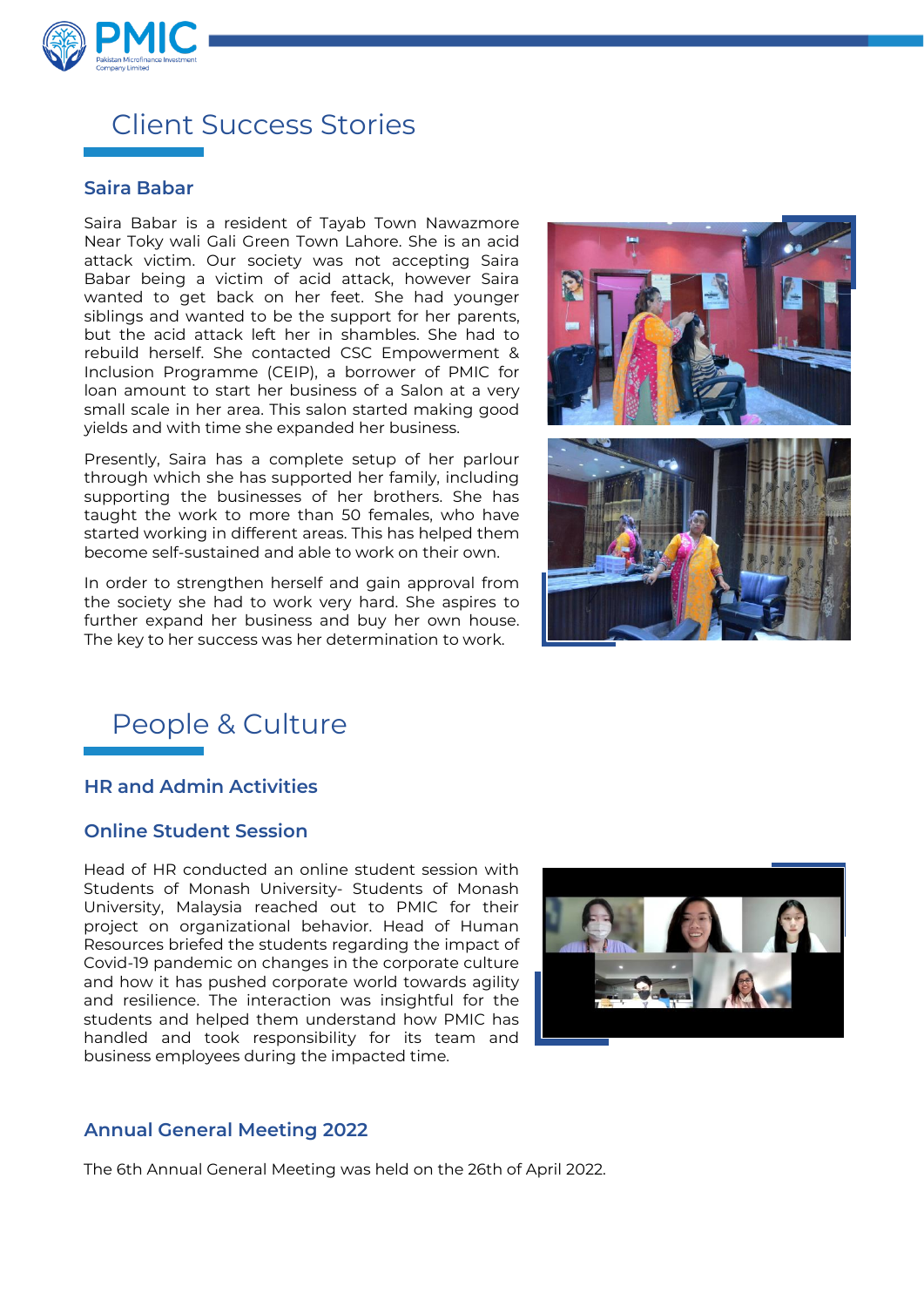

# Client Success Stories

#### **Saira Babar**

Saira Babar is a resident of Tayab Town Nawazmore Near Toky wali Gali Green Town Lahore. She is an acid attack victim. Our society was not accepting Saira Babar being a victim of acid attack, however Saira wanted to get back on her feet. She had younger siblings and wanted to be the support for her parents, but the acid attack left her in shambles. She had to rebuild herself. She contacted CSC Empowerment & Inclusion Programme (CEIP), a borrower of PMIC for loan amount to start her business of a Salon at a very small scale in her area. This salon started making good yields and with time she expanded her business.

Presently, Saira has a complete setup of her parlour through which she has supported her family, including supporting the businesses of her brothers. She has taught the work to more than 50 females, who have started working in different areas. This has helped them become self-sustained and able to work on their own.

In order to strengthen herself and gain approval from the society she had to work very hard. She aspires to further expand her business and buy her own house. The key to her success was her determination to work.





#### **HR and Admin Activities**

#### **Online Student Session**

Head of HR conducted an online student session with Students of Monash University- Students of Monash University, Malaysia reached out to PMIC for their project on organizational behavior. Head of Human Resources briefed the students regarding the impact of Covid-19 pandemic on changes in the corporate culture and how it has pushed corporate world towards agility and resilience. The interaction was insightful for the students and helped them understand how PMIC has handled and took responsibility for its team and business employees during the impacted time.



#### **Annual General Meeting 2022**

The 6th Annual General Meeting was held on the 26th of April 2022.